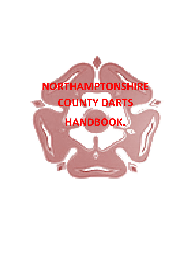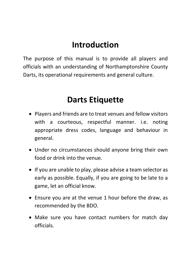# **Introduction**

The purpose of this manual is to provide all players and officials with an understanding of Northamptonshire County Darts, its operational requirements and general culture.

# **Darts Etiquette**

- Players and friends are to treat venues and fellow visitors with a courteous, respectful manner. i.e. noting appropriate dress codes, language and behaviour in general.
- Under no circumstances should anyone bring their own food or drink into the venue.
- If you are unable to play, please advise a team selector as early as possible. Equally, if you are going to be late to a game, let an official know.
- Ensure you are at the venue 1 hour before the draw, as recommended by the BDO.
- Make sure you have contact numbers for match day officials.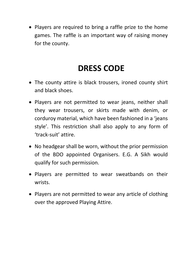• Players are required to bring a raffle prize to the home games. The raffle is an important way of raising money for the county.

# **DRESS CODE**

- The county attire is black trousers, ironed county shirt and black shoes.
- Players are not permitted to wear jeans, neither shall they wear trousers, or skirts made with denim, or corduroy material, which have been fashioned in a 'jeans style'. This restriction shall also apply to any form of 'track-suit' attire.
- No headgear shall be worn, without the prior permission of the BDO appointed Organisers. E.G. A Sikh would qualify for such permission.
- Players are permitted to wear sweatbands on their wrists.
- Players are not permitted to wear any article of clothing over the approved Playing Attire.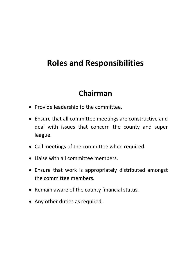# **Roles and Responsibilities**

# **Chairman**

- Provide leadership to the committee.
- Ensure that all committee meetings are constructive and deal with issues that concern the county and super league.
- Call meetings of the committee when required.
- Liaise with all committee members.
- Ensure that work is appropriately distributed amongst the committee members.
- Remain aware of the county financial status.
- Any other duties as required.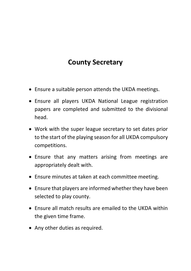# **County Secretary**

- Ensure a suitable person attends the UKDA meetings.
- Ensure all players UKDA National League registration papers are completed and submitted to the divisional head.
- Work with the super league secretary to set dates prior to the start of the playing season for all UKDA compulsory competitions.
- Ensure that any matters arising from meetings are appropriately dealt with.
- Ensure minutes at taken at each committee meeting.
- Ensure that players are informed whether they have been selected to play county.
- Ensure all match results are emailed to the UKDA within the given time frame.
- Any other duties as required.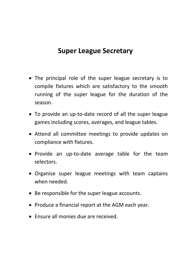### **Super League Secretary**

- The principal role of the super league secretary is to compile fixtures which are satisfactory to the smooth running of the super league for the duration of the season.
- To provide an up-to-date record of all the super league games including scores, averages, and league tables.
- Attend all committee meetings to provide updates on compliance with fixtures.
- Provide an up-to-date average table for the team selectors.
- Organise super league meetings with team captains when needed.
- Be responsible for the super league accounts.
- Produce a financial report at the AGM each year.
- Ensure all monies due are received.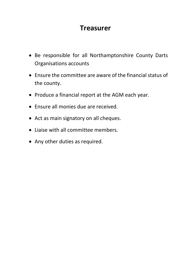### **Treasurer**

- Be responsible for all Northamptonshire County Darts Organisations accounts
- Ensure the committee are aware of the financial status of the county.
- Produce a financial report at the AGM each year.
- Ensure all monies due are received.
- Act as main signatory on all cheques.
- Liaise with all committee members.
- Any other duties as required.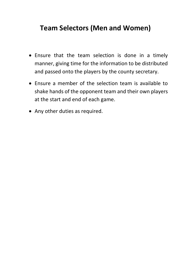### **Team Selectors (Men and Women)**

- Ensure that the team selection is done in a timely manner, giving time for the information to be distributed and passed onto the players by the county secretary.
- Ensure a member of the selection team is available to shake hands of the opponent team and their own players at the start and end of each game.
- Any other duties as required.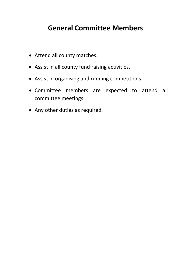## **General Committee Members**

- Attend all county matches.
- Assist in all county fund raising activities.
- Assist in organising and running competitions.
- Committee members are expected to attend all committee meetings.
- Any other duties as required.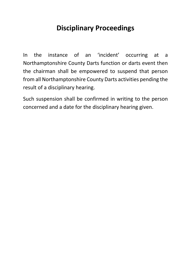# **Disciplinary Proceedings**

In the instance of an 'incident' occurring at a Northamptonshire County Darts function or darts event then the chairman shall be empowered to suspend that person from all Northamptonshire County Darts activities pending the result of a disciplinary hearing.

Such suspension shall be confirmed in writing to the person concerned and a date for the disciplinary hearing given.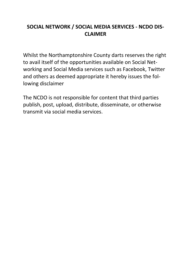#### **SOCIAL NETWORK / SOCIAL MEDIA SERVICES - NCDO DIS-CLAIMER**

Whilst the Northamptonshire County darts reserves the right to avail itself of the opportunities available on Social Networking and Social Media services such as Facebook, Twitter and others as deemed appropriate it hereby issues the following disclaimer

The NCDO is not responsible for content that third parties publish, post, upload, distribute, disseminate, or otherwise transmit via social media services.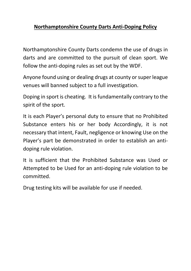#### **Northamptonshire County Darts Anti-Doping Policy**

Northamptonshire County Darts condemn the use of drugs in darts and are committed to the pursuit of clean sport. We follow the anti-doping rules as set out by the WDF.

Anyone found using or dealing drugs at county or super league venues will banned subject to a full investigation.

Doping in sport is cheating. It is fundamentally contrary to the spirit of the sport.

It is each Player's personal duty to ensure that no Prohibited Substance enters his or her body Accordingly, it is not necessary that intent, Fault, negligence or knowing Use on the Player's part be demonstrated in order to establish an antidoping rule violation.

It is sufficient that the Prohibited Substance was Used or Attempted to be Used for an anti-doping rule violation to be committed.

Drug testing kits will be available for use if needed.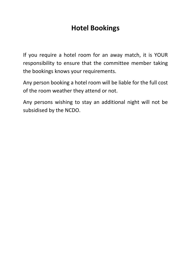## **Hotel Bookings**

If you require a hotel room for an away match, it is YOUR responsibility to ensure that the committee member taking the bookings knows your requirements.

Any person booking a hotel room will be liable for the full cost of the room weather they attend or not.

Any persons wishing to stay an additional night will not be subsidised by the NCDO.